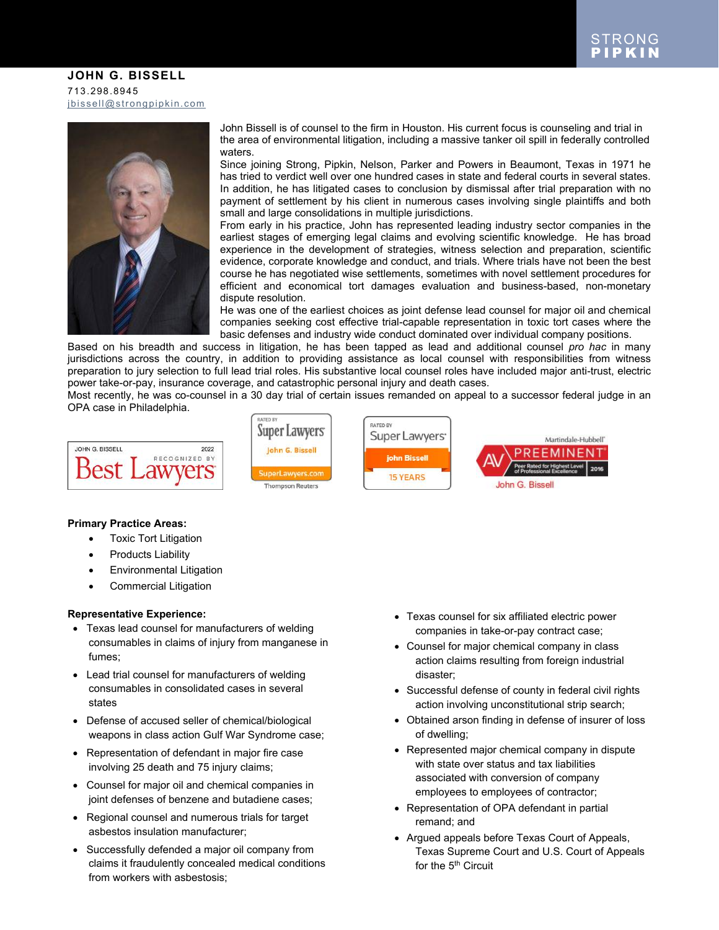#### **JOHN G. BISSELL** 713.298.8945 [jbissell@strongpipkin.com](mailto:jbissell@strongpipkin.com)



John Bissell is of counsel to the firm in Houston. His current focus is counseling and trial in the area of environmental litigation, including a massive tanker oil spill in federally controlled waters.

Since joining Strong, Pipkin, Nelson, Parker and Powers in Beaumont, Texas in 1971 he has tried to verdict well over one hundred cases in state and federal courts in several states. In addition, he has litigated cases to conclusion by dismissal after trial preparation with no payment of settlement by his client in numerous cases involving single plaintiffs and both small and large consolidations in multiple jurisdictions.

From early in his practice, John has represented leading industry sector companies in the earliest stages of emerging legal claims and evolving scientific knowledge. He has broad experience in the development of strategies, witness selection and preparation, scientific evidence, corporate knowledge and conduct, and trials. Where trials have not been the best course he has negotiated wise settlements, sometimes with novel settlement procedures for efficient and economical tort damages evaluation and business-based, non-monetary dispute resolution.

He was one of the earliest choices as joint defense lead counsel for major oil and chemical companies seeking cost effective trial-capable representation in toxic tort cases where the basic defenses and industry wide conduct dominated over individual company positions.

Based on his breadth and success in litigation, he has been tapped as lead and additional counsel *pro hac* in many jurisdictions across the country, in addition to providing assistance as local counsel with responsibilities from witness preparation to jury selection to full lead trial roles. His substantive local counsel roles have included major anti-trust, electric power take-or-pay, insurance coverage, and catastrophic personal injury and death cases.

Most recently, he was co-counsel in a 30 day trial of certain issues remanded on appeal to a successor federal judge in an OPA case in Philadelphia.

| 2022                    |
|-------------------------|
| RECOGNIZED<br><b>BY</b> |
|                         |
|                         |
|                         |



#### **Primary Practice Areas:**

- Toxic Tort Litigation
- Products Liability
- Environmental Litigation
- Commercial Litigation

#### **Representative Experience:**

- Texas lead counsel for manufacturers of welding consumables in claims of injury from manganese in fumes;
- Lead trial counsel for manufacturers of welding consumables in consolidated cases in several states
- Defense of accused seller of chemical/biological weapons in class action Gulf War Syndrome case;
- Representation of defendant in major fire case involving 25 death and 75 injury claims;
- Counsel for major oil and chemical companies in joint defenses of benzene and butadiene cases;
- Regional counsel and numerous trials for target asbestos insulation manufacturer;
- Successfully defended a major oil company from claims it fraudulently concealed medical conditions from workers with asbestosis;
- Texas counsel for six affiliated electric power companies in take-or-pay contract case;
- Counsel for major chemical company in class action claims resulting from foreign industrial disaster;
- Successful defense of county in federal civil rights action involving unconstitutional strip search;
- Obtained arson finding in defense of insurer of loss of dwelling;
- Represented major chemical company in dispute with state over status and tax liabilities associated with conversion of company employees to employees of contractor;
- Representation of OPA defendant in partial remand; and
- Argued appeals before Texas Court of Appeals, Texas Supreme Court and U.S. Court of Appeals for the 5<sup>th</sup> Circuit